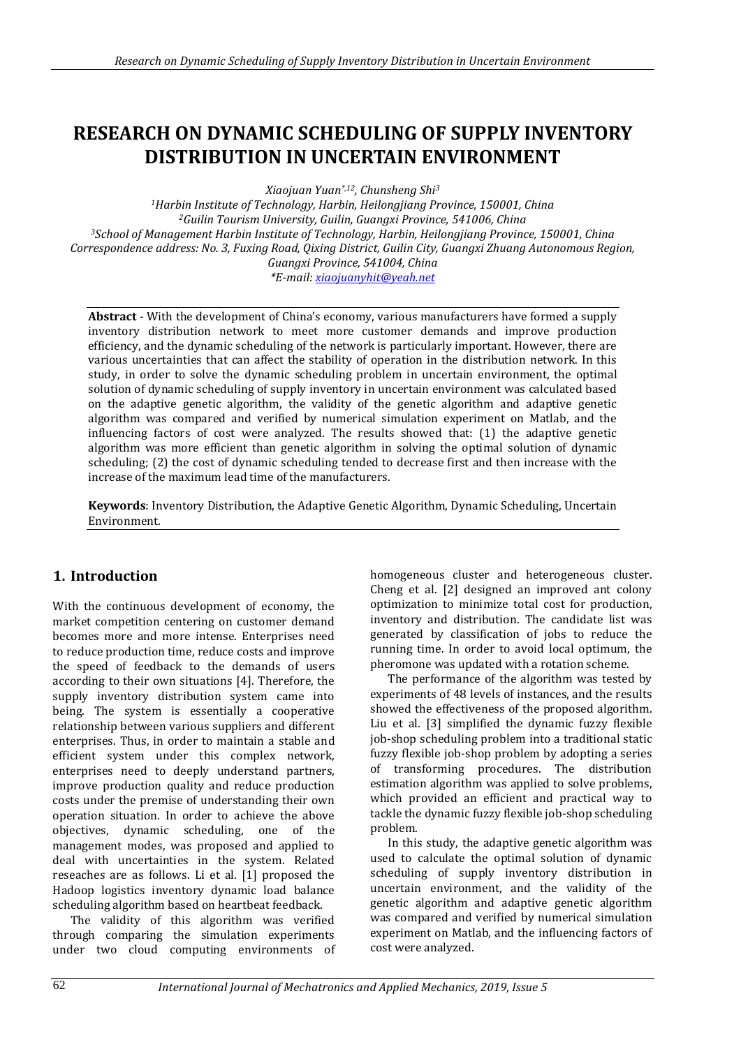# **RESEARCH ON DYNAMIC SCHEDULING OF SUPPLY INVENTORY DISTRIBUTION IN UNCERTAIN ENVIRONMENT**

*Xiaojuan Yuan\*,12, Chunsheng Shi<sup>3</sup>*

*<sup>1</sup>Harbin Institute of Technology, Harbin, Heilongjiang Province, 150001, China <sup>2</sup>Guilin Tourism University, Guilin, Guangxi Province, 541006, China <sup>3</sup>School of Management Harbin Institute of Technology, Harbin, Heilongjiang Province, 150001, China Correspondence address: No. 3, Fuxing Road, Qixing District, Guilin City, Guangxi Zhuang Autonomous Region, Guangxi Province, 541004, China \*E-mail[: xiaojuanyhit@yeah.net](mailto:xiaojuanyhit@yeah.net)*

**Abstract** - With the development of China's economy, various manufacturers have formed a supply inventory distribution network to meet more customer demands and improve production efficiency, and the dynamic scheduling of the network is particularly important. However, there are various uncertainties that can affect the stability of operation in the distribution network. In this study, in order to solve the dynamic scheduling problem in uncertain environment, the optimal solution of dynamic scheduling of supply inventory in uncertain environment was calculated based on the adaptive genetic algorithm, the validity of the genetic algorithm and adaptive genetic algorithm was compared and verified by numerical simulation experiment on Matlab, and the influencing factors of cost were analyzed. The results showed that: (1) the adaptive genetic algorithm was more efficient than genetic algorithm in solving the optimal solution of dynamic scheduling; (2) the cost of dynamic scheduling tended to decrease first and then increase with the increase of the maximum lead time of the manufacturers.

**Keywords**: Inventory Distribution, the Adaptive Genetic Algorithm, Dynamic Scheduling, Uncertain Environment.

# **1. Introduction**

With the continuous development of economy, the market competition centering on customer demand becomes more and more intense. Enterprises need to reduce production time, reduce costs and improve the speed of feedback to the demands of users according to their own situations [4]. Therefore, the supply inventory distribution system came into being. The system is essentially a cooperative relationship between various suppliers and different enterprises. Thus, in order to maintain a stable and efficient system under this complex network, enterprises need to deeply understand partners, improve production quality and reduce production costs under the premise of understanding their own operation situation. In order to achieve the above objectives, dynamic scheduling, one of the management modes, was proposed and applied to deal with uncertainties in the system. Related reseaches are as follows. Li et al. [1] proposed the Hadoop logistics inventory dynamic load balance scheduling algorithm based on heartbeat feedback.

The validity of this algorithm was verified through comparing the simulation experiments under two cloud computing environments of homogeneous cluster and heterogeneous cluster. Cheng et al. [2] designed an improved ant colony optimization to minimize total cost for production, inventory and distribution. The candidate list was generated by classification of jobs to reduce the running time. In order to avoid local optimum, the pheromone was updated with a rotation scheme.

The performance of the algorithm was tested by experiments of 48 levels of instances, and the results showed the effectiveness of the proposed algorithm. Liu et al. [3] simplified the dynamic fuzzy flexible job-shop scheduling problem into a traditional static fuzzy flexible job-shop problem by adopting a series of transforming procedures. The distribution estimation algorithm was applied to solve problems, which provided an efficient and practical way to tackle the dynamic fuzzy flexible job-shop scheduling problem.

In this study, the adaptive genetic algorithm was used to calculate the optimal solution of dynamic scheduling of supply inventory distribution in uncertain environment, and the validity of the genetic algorithm and adaptive genetic algorithm was compared and verified by numerical simulation experiment on Matlab, and the influencing factors of cost were analyzed.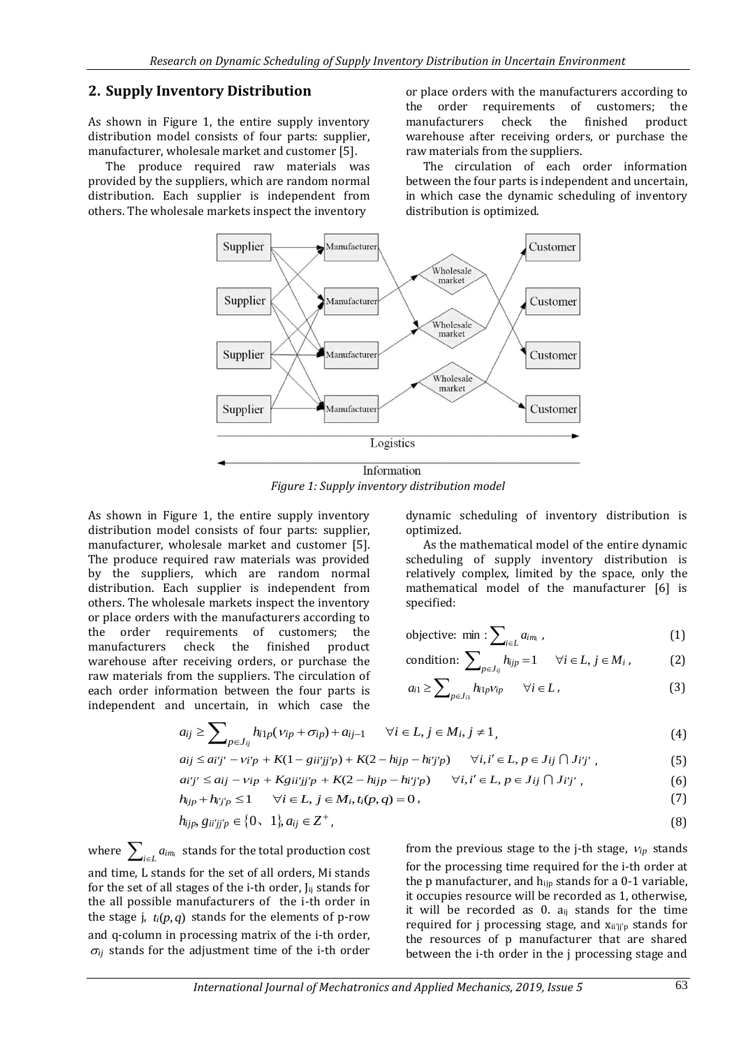## **2. Supply Inventory Distribution**

As shown in Figure 1, the entire supply inventory distribution model consists of four parts: supplier, manufacturer, wholesale market and customer [5].

The produce required raw materials was provided by the suppliers, which are random normal distribution. Each supplier is independent from others. The wholesale markets inspect the inventory

or place orders with the manufacturers according to the order requirements of customers; the manufacturers check the finished product warehouse after receiving orders, or purchase the raw materials from the suppliers.

The circulation of each order information between the four parts is independent and uncertain, in which case the dynamic scheduling of inventory distribution is optimized.



*Figure 1: Supply inventory distribution model*

As shown in Figure 1, the entire supply inventory distribution model consists of four parts: supplier, manufacturer, wholesale market and customer [5]. The produce required raw materials was provided by the suppliers, which are random normal distribution. Each supplier is independent from others. The wholesale markets inspect the inventory or place orders with the manufacturers according to the order requirements of customers; the manufacturers check the finished product warehouse after receiving orders, or purchase the raw materials from the suppliers. The circulation of each order information between the four parts is independent and uncertain, in which case the

dynamic scheduling of inventory distribution is optimized.

As the mathematical model of the entire dynamic scheduling of supply inventory distribution is relatively complex, limited by the space, only the mathematical model of the manufacturer [6] is specified:

objective: min : 
$$
\sum_{i \in L} a_{im_i}
$$
, (1)

$$
\text{condition: } \sum\nolimits_{p \in J_{ij}} h_{ijp} = 1 \quad \forall i \in L, j \in M_i , \tag{2}
$$

$$
a_{i1} \ge \sum_{p \in J_{i1}} h_{i1p} v_{ip} \qquad \forall i \in L,
$$
 (3)

$$
a_{ij} \ge \sum_{p \in J_{ij}} h_{i1p}(v_{ip} + \sigma_{ip}) + a_{ij-1} \qquad \forall i \in L, j \in M_i, j \ne 1,
$$
\n
$$
(4)
$$

$$
a_{ij} \le a_{i'j'} - v_{i'p} + K(1 - g_{ii'jj'p}) + K(2 - h_{ijp} - h_{i'j'p}) \qquad \forall i, i' \in L, p \in J_{ij} \cap J_{i'j'} \tag{5}
$$

$$
ai'j' \leq a_{ij} - v_{ip} + Kgi'jj'p + K(2 - h_{ijp} - h_{ij}'j'p) \qquad \forall i, i' \in L, p \in J_{ij} \cap J_{i'j'} , \qquad (6)
$$

$$
h_{ijp} + h_{ij'p} \le 1 \qquad \forall i \in L, j \in M_i, t_i(p,q) = 0 \tag{7}
$$

$$
h_{ijp}, g_{ii'jj'p} \in \{0, 1\}, a_{ij} \in \mathbb{Z}^+, \tag{8}
$$

where  $\sum_{i \in L} a_{i m_i}$  stands for the total production cost and time, L stands for the set of all orders, Mi stands for the set of all stages of the i-th order,  $J_{ii}$  stands for the all possible manufacturers of the i-th order in the stage *j*,  $t_i(p, q)$  stands for the elements of p-row and q-column in processing matrix of the i-th order,  $\sigma_{ij}$  stands for the adjustment time of the i-th order

from the previous stage to the j-th stage,  $v_{ip}$  stands for the processing time required for the i-th order at the p manufacturer, and hijp stands for a 0-1 variable, it occupies resource will be recorded as 1, otherwise, it will be recorded as  $0$ .  $a_{ii}$  stands for the time required for j processing stage, and  $x_{ii'ii'p}$  stands for the resources of p manufacturer that are shared between the i-th order in the j processing stage and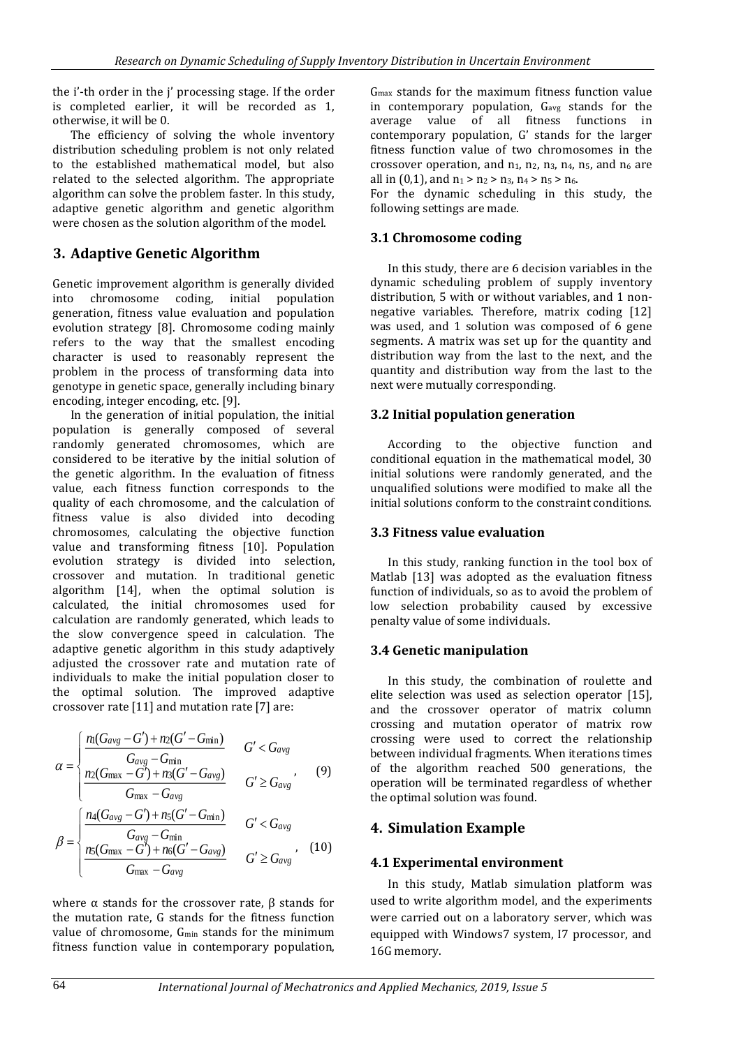the i'-th order in the j' processing stage. If the order is completed earlier, it will be recorded as 1, otherwise, it will be 0.

The efficiency of solving the whole inventory distribution scheduling problem is not only related to the established mathematical model, but also related to the selected algorithm. The appropriate algorithm can solve the problem faster. In this study, adaptive genetic algorithm and genetic algorithm were chosen as the solution algorithm of the model.

# **3. Adaptive Genetic Algorithm**

Genetic improvement algorithm is generally divided into chromosome coding, initial population generation, fitness value evaluation and population evolution strategy [8]. Chromosome coding mainly refers to the way that the smallest encoding character is used to reasonably represent the problem in the process of transforming data into genotype in genetic space, generally including binary encoding, integer encoding, etc. [9].

In the generation of initial population, the initial population is generally composed of several randomly generated chromosomes, which are considered to be iterative by the initial solution of the genetic algorithm. In the evaluation of fitness value, each fitness function corresponds to the quality of each chromosome, and the calculation of fitness value is also divided into decoding chromosomes, calculating the objective function value and transforming fitness [10]. Population evolution strategy is divided into selection, crossover and mutation. In traditional genetic algorithm [14], when the optimal solution is calculated, the initial chromosomes used for calculation are randomly generated, which leads to the slow convergence speed in calculation. The adaptive genetic algorithm in this study adaptively adjusted the crossover rate and mutation rate of individuals to make the initial population closer to the optimal solution. The improved adaptive crossover rate [11] and mutation rate [7] are:

$$
\alpha = \begin{cases} \frac{n_1(G_{avg} - G') + n_2(G' - G_{min})}{G_{avg} - G_{min}} & G' < G_{avg} \\ \frac{n_2(G_{max} - G') + n_3(G' - G_{avg})}{G_{max} - G_{avg}} & G' \ge G_{avg} \end{cases}
$$
(9)

$$
\beta = \begin{cases}\nG_{\text{max}} - G_{\text{avg}} & G' < G_{\text{avg}} \\
\frac{n_4(G_{\text{avg}} - G') + n_5(G' - G_{\text{min}})}{G_{\text{avg}} - G_{\text{min}}} & G' < G_{\text{avg}} \\
\frac{n_5(G_{\text{max}} - G') + n_6(G' - G_{\text{avg}})}{G_{\text{max}} - G_{\text{avg}}} & G' \ge G_{\text{avg}}\n\end{cases}
$$
\n(10)

where  $α$  stands for the crossover rate,  $β$  stands for the mutation rate, G stands for the fitness function value of chromosome, Gmin stands for the minimum fitness function value in contemporary population,

Gmax stands for the maximum fitness function value in contemporary population,  $G_{avg}$  stands for the average value of all fitness functions in contemporary population, G' stands for the larger fitness function value of two chromosomes in the crossover operation, and  $n_1$ ,  $n_2$ ,  $n_3$ ,  $n_4$ ,  $n_5$ , and  $n_6$  are all in  $(0,1)$ , and  $n_1 > n_2 > n_3$ ,  $n_4 > n_5 > n_6$ .

For the dynamic scheduling in this study, the following settings are made.

#### **3.1 Chromosome coding**

In this study, there are 6 decision variables in the dynamic scheduling problem of supply inventory distribution, 5 with or without variables, and 1 nonnegative variables. Therefore, matrix coding [12] was used, and 1 solution was composed of 6 gene segments. A matrix was set up for the quantity and distribution way from the last to the next, and the quantity and distribution way from the last to the next were mutually corresponding.

#### **3.2 Initial population generation**

According to the objective function and conditional equation in the mathematical model, 30 initial solutions were randomly generated, and the unqualified solutions were modified to make all the initial solutions conform to the constraint conditions.

### **3.3 Fitness value evaluation**

In this study, ranking function in the tool box of Matlab [13] was adopted as the evaluation fitness function of individuals, so as to avoid the problem of low selection probability caused by excessive penalty value of some individuals.

### **3.4 Genetic manipulation**

In this study, the combination of roulette and elite selection was used as selection operator [15], and the crossover operator of matrix column crossing and mutation operator of matrix row crossing were used to correct the relationship between individual fragments. When iterations times of the algorithm reached 500 generations, the operation will be terminated regardless of whether the optimal solution was found.

### **4. Simulation Example**

### **4.1 Experimental environment**

In this study, Matlab simulation platform was used to write algorithm model, and the experiments were carried out on a laboratory server, which was equipped with Windows7 system, I7 processor, and 16G memory.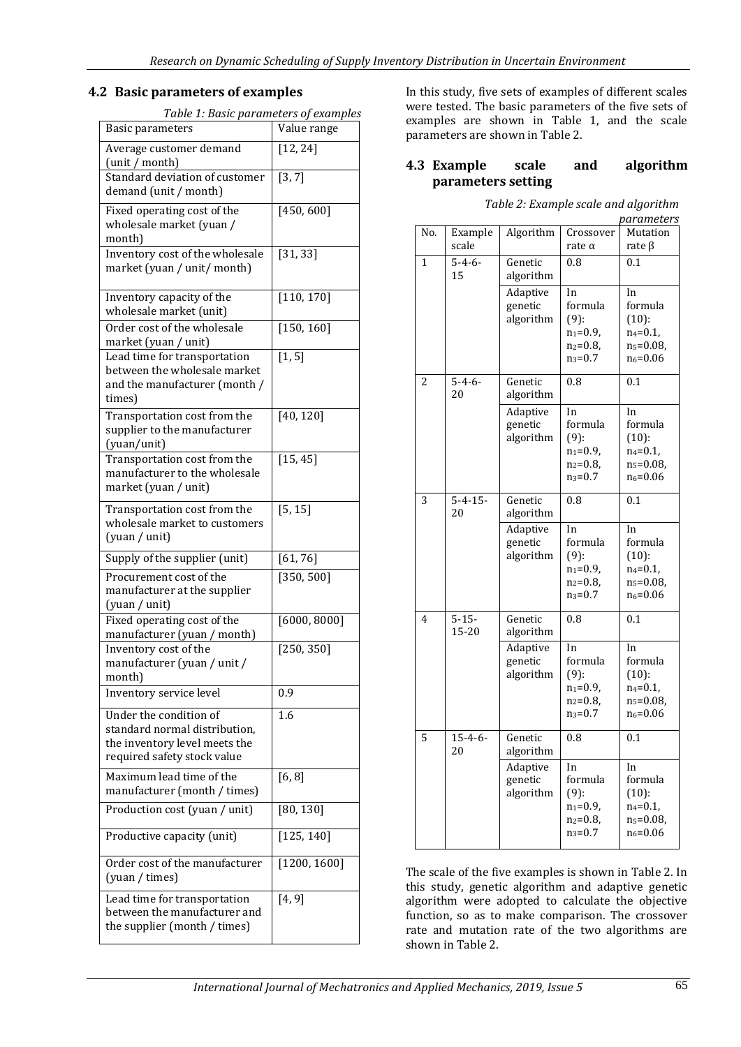#### **4.2 Basic parameters of examples**

*Table 1: Basic parameters of examples*

| Basic parameters                                                                                                        | Value range             |  |
|-------------------------------------------------------------------------------------------------------------------------|-------------------------|--|
| Average customer demand<br>(unit / month)                                                                               | [12, 24]                |  |
| Standard deviation of customer<br>demand (unit / month)                                                                 | [3, 7]                  |  |
| Fixed operating cost of the<br>wholesale market (yuan /<br>month)                                                       | [450, 600]              |  |
| Inventory cost of the wholesale<br>market (yuan / unit/ month)                                                          | [31, 33]                |  |
| Inventory capacity of the<br>wholesale market (unit)                                                                    | $\overline{[}110, 170]$ |  |
| Order cost of the wholesale<br>market (yuan / unit)                                                                     | [150, 160]              |  |
| Lead time for transportation<br>between the wholesale market<br>and the manufacturer (month /<br>times)                 | $\overline{[1, 5]}$     |  |
| Transportation cost from the<br>supplier to the manufacturer<br>(yuan/unit)                                             | [40, 120]               |  |
| Transportation cost from the<br>manufacturer to the wholesale<br>market (yuan / unit)                                   | [15, 45]                |  |
| Transportation cost from the<br>wholesale market to customers<br>(yuan / unit)                                          | [5, 15]                 |  |
| Supply of the supplier (unit)                                                                                           | [61, 76]                |  |
| Procurement cost of the<br>manufacturer at the supplier<br>(yuan / unit)                                                | [350, 500]              |  |
| Fixed operating cost of the<br>manufacturer (yuan / month)                                                              | [6000, 8000]            |  |
| Inventory cost of the<br>manufacturer (yuan / unit /<br>month)                                                          | [250, 350]              |  |
| Inventory service level                                                                                                 | 0.9                     |  |
| Under the condition of<br>standard normal distribution,<br>the inventory level meets the<br>required safety stock value | 1.6                     |  |
| Maximum lead time of the<br>manufacturer (month / times)                                                                | [6, 8]                  |  |
| Production cost (yuan / unit)                                                                                           | [80, 130]               |  |
| Productive capacity (unit)                                                                                              | [125, 140]              |  |
| Order cost of the manufacturer<br>(yuan / times)                                                                        | [1200, 1600]            |  |
| Lead time for transportation<br>between the manufacturer and<br>the supplier (month / times)                            | [4, 9]                  |  |

In this study, five sets of examples of different scales were tested. The basic parameters of the five sets of examples are shown in Table 1, and the scale parameters are shown in Table 2.

#### **4.3 Example scale and algorithm parameters setting**

|     | parameters          |                                  |                                                                                  |                                                                                     |  |
|-----|---------------------|----------------------------------|----------------------------------------------------------------------------------|-------------------------------------------------------------------------------------|--|
| No. | Example             | Algorithm                        | Crossover                                                                        | Mutation                                                                            |  |
|     | scale               |                                  | rate $\alpha$                                                                    | rate $\beta$                                                                        |  |
| 1   | $5 - 4 - 6 -$<br>15 | Genetic<br>algorithm             | 0.8                                                                              | 0.1                                                                                 |  |
|     |                     | Adaptive<br>genetic<br>algorithm | In<br>formula<br>$(9)$ :<br>$n_1 = 0.9$ ,<br>$n_2 = 0.8$<br>$n_3 = 0.7$          | In<br>formula<br>(10):<br>$n_4 = 0.1$<br>n <sub>5</sub> =0.08,<br>$n_6 = 0.06$      |  |
| 2   | $5 - 4 - 6 -$<br>20 | Genetic<br>algorithm             | 0.8                                                                              | 0.1                                                                                 |  |
|     |                     | Adaptive<br>genetic<br>algorithm | In<br>formula<br>$(9)$ :<br>$n_1 = 0.9$ ,<br>$n_2 = 0.8$<br>$n_3 = 0.7$          | In<br>formula<br>$(10)$ :<br>$n_4 = 0.1$ ,<br>$n_5 = 0.08$<br>$n_6 = 0.06$          |  |
| 3   | $5 - 4 - 15$<br>20  | Genetic<br>algorithm             | 0.8                                                                              | 0.1                                                                                 |  |
|     |                     | Adaptive<br>genetic<br>algorithm | In<br>formula<br>$(9)$ :<br>$n_1 = 0.9$ ,<br>$n_2 = 0.8$<br>$n_3 = 0.7$          | In<br>formula<br>(10):<br>$n_4 = 0.1$<br>n <sub>5</sub> =0.08,<br>$n_6 = 0.06$      |  |
| 4   | $5 - 15 -$<br>15-20 | Genetic<br>algorithm             | 0.8                                                                              | 0.1                                                                                 |  |
|     |                     | Adaptive<br>genetic<br>algorithm | In<br>formula<br>$(9)$ :<br>$n_1 = 0.9$ ,<br>n <sub>2</sub> =0.8,<br>$n_3 = 0.7$ | In<br>formula<br>$(10)$ :<br>$n_4 = 0.1$ ,<br>n <sub>5</sub> =0.08,<br>$n_6 = 0.06$ |  |
| 5   | $15 - 4 - 6$<br>20  | Genetic<br>algorithm             | 0.8                                                                              | 0.1                                                                                 |  |
|     |                     | Adaptive<br>genetic<br>algorithm | In<br>formula<br>$(9)$ :<br>$n_1 = 0.9$<br>n <sub>2</sub> =0.8,<br>$n_3 = 0.7$   | In<br>formula<br>$(10)$ :<br>$n_4 = 0.1$ ,<br>n <sub>5</sub> =0.08,<br>$n_6 = 0.06$ |  |

*Table 2: Example scale and algorithm* 

The scale of the five examples is shown in Table 2. In this study, genetic algorithm and adaptive genetic algorithm were adopted to calculate the objective function, so as to make comparison. The crossover rate and mutation rate of the two algorithms are shown in Table 2.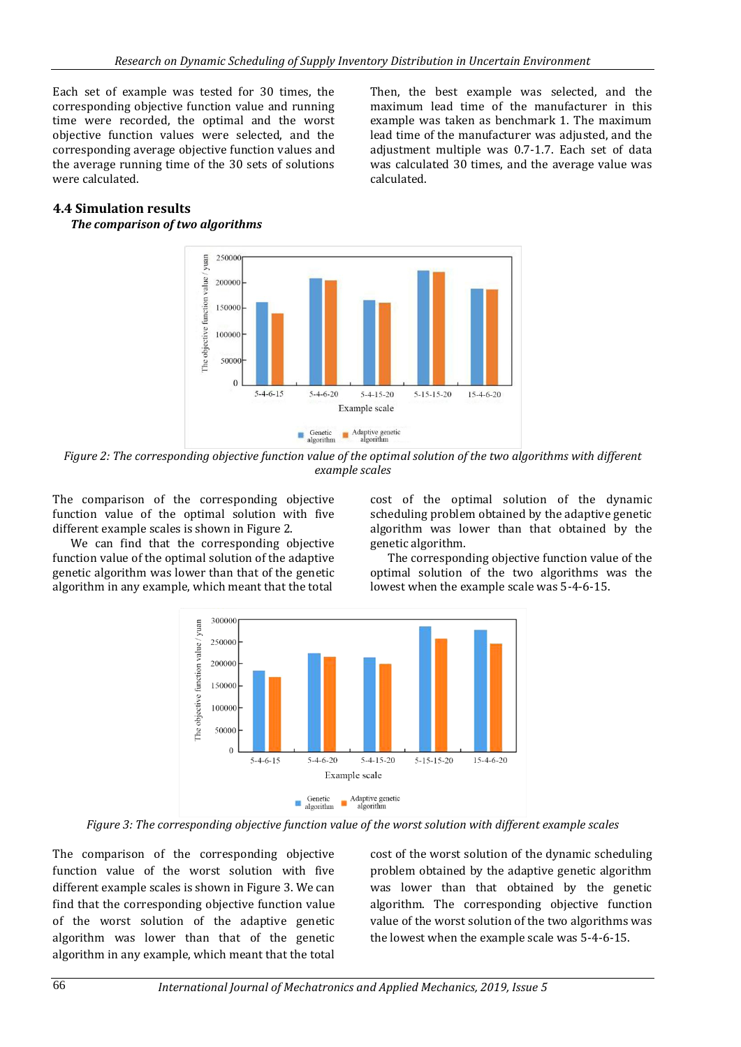Each set of example was tested for 30 times, the corresponding objective function value and running time were recorded, the optimal and the worst objective function values were selected, and the corresponding average objective function values and the average running time of the 30 sets of solutions were calculated.

Then, the best example was selected, and the maximum lead time of the manufacturer in this example was taken as benchmark 1. The maximum lead time of the manufacturer was adjusted, and the adjustment multiple was 0.7-1.7. Each set of data was calculated 30 times, and the average value was calculated.

#### **4.4 Simulation results**

#### *The comparison of two algorithms*



*Figure 2: The corresponding objective function value of the optimal solution of the two algorithms with different example scales*

The comparison of the corresponding objective function value of the optimal solution with five different example scales is shown in Figure 2.

We can find that the corresponding objective function value of the optimal solution of the adaptive genetic algorithm was lower than that of the genetic algorithm in any example, which meant that the total

cost of the optimal solution of the dynamic scheduling problem obtained by the adaptive genetic algorithm was lower than that obtained by the genetic algorithm.

The corresponding objective function value of the optimal solution of the two algorithms was the lowest when the example scale was 5-4-6-15.



*Figure 3: The corresponding objective function value of the worst solution with different example scales*

The comparison of the corresponding objective function value of the worst solution with five different example scales is shown in Figure 3. We can find that the corresponding objective function value of the worst solution of the adaptive genetic algorithm was lower than that of the genetic algorithm in any example, which meant that the total cost of the worst solution of the dynamic scheduling problem obtained by the adaptive genetic algorithm was lower than that obtained by the genetic algorithm. The corresponding objective function value of the worst solution of the two algorithms was the lowest when the example scale was 5-4-6-15.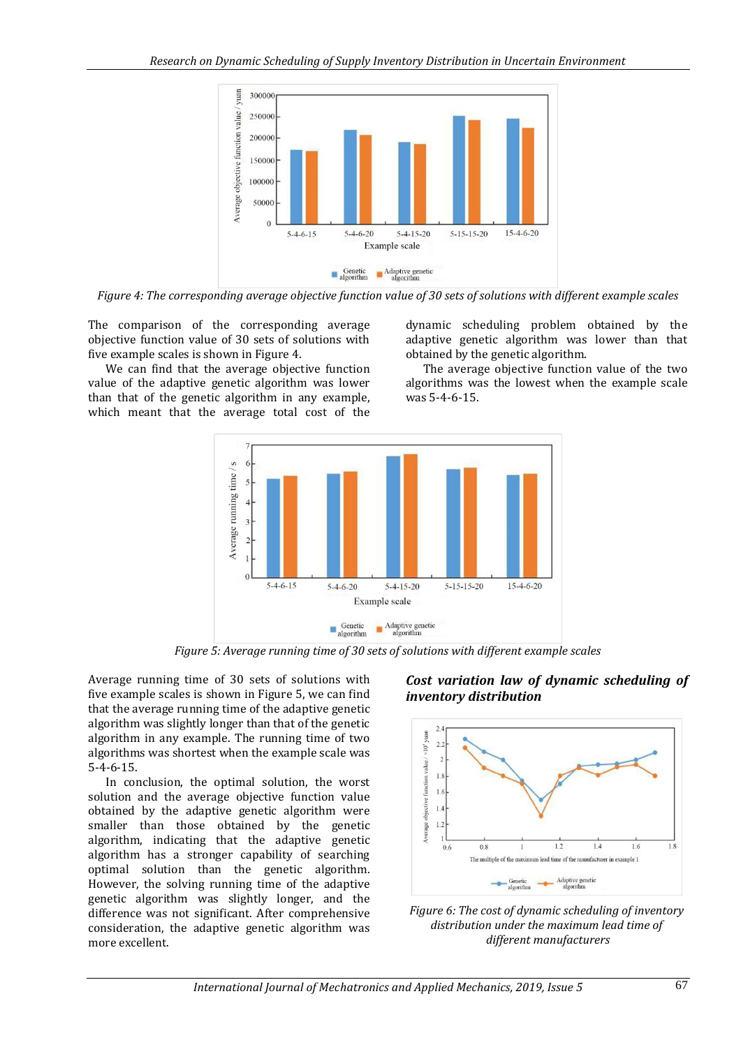

*Figure 4: The corresponding average objective function value of 30 sets of solutions with different example scales*

The comparison of the corresponding average objective function value of 30 sets of solutions with five example scales is shown in Figure 4.

We can find that the average objective function value of the adaptive genetic algorithm was lower than that of the genetic algorithm in any example, which meant that the average total cost of the

dynamic scheduling problem obtained by the adaptive genetic algorithm was lower than that obtained by the genetic algorithm.

The average objective function value of the two algorithms was the lowest when the example scale was 5-4-6-15.



*Figure 5: Average running time of 30 sets of solutions with different example scales*

Average running time of 30 sets of solutions with five example scales is shown in Figure 5, we can find that the average running time of the adaptive genetic algorithm was slightly longer than that of the genetic algorithm in any example. The running time of two algorithms was shortest when the example scale was 5-4-6-15.

In conclusion, the optimal solution, the worst solution and the average objective function value obtained by the adaptive genetic algorithm were smaller than those obtained by the genetic algorithm, indicating that the adaptive genetic algorithm has a stronger capability of searching optimal solution than the genetic algorithm. However, the solving running time of the adaptive genetic algorithm was slightly longer, and the difference was not significant. After comprehensive consideration, the adaptive genetic algorithm was more excellent.

### *Cost variation law of dynamic scheduling of inventory distribution*



*Figure 6: The cost of dynamic scheduling of inventory distribution under the maximum lead time of different manufacturers*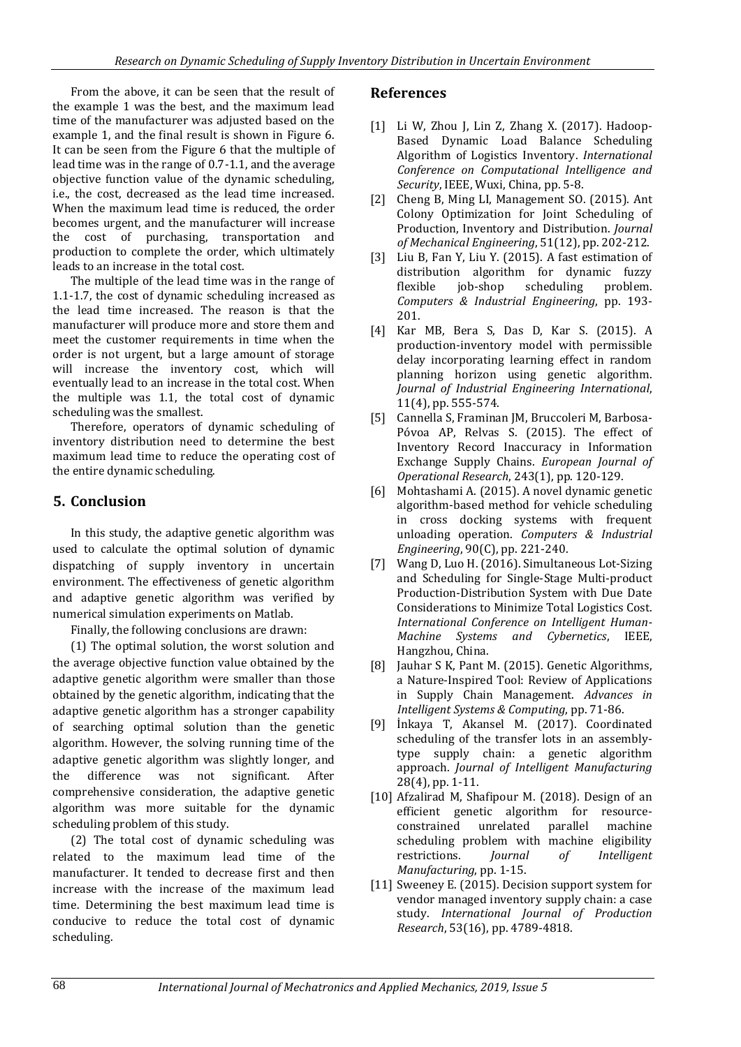From the above, it can be seen that the result of the example 1 was the best, and the maximum lead time of the manufacturer was adjusted based on the example 1, and the final result is shown in Figure 6. It can be seen from the Figure 6 that the multiple of lead time was in the range of 0.7-1.1, and the average objective function value of the dynamic scheduling, i.e., the cost, decreased as the lead time increased. When the maximum lead time is reduced, the order becomes urgent, and the manufacturer will increase the cost of purchasing, transportation and production to complete the order, which ultimately leads to an increase in the total cost.

The multiple of the lead time was in the range of 1.1-1.7, the cost of dynamic scheduling increased as the lead time increased. The reason is that the manufacturer will produce more and store them and meet the customer requirements in time when the order is not urgent, but a large amount of storage will increase the inventory cost, which will eventually lead to an increase in the total cost. When the multiple was 1.1, the total cost of dynamic scheduling was the smallest.

Therefore, operators of dynamic scheduling of inventory distribution need to determine the best maximum lead time to reduce the operating cost of the entire dynamic scheduling.

## **5. Conclusion**

In this study, the adaptive genetic algorithm was used to calculate the optimal solution of dynamic dispatching of supply inventory in uncertain environment. The effectiveness of genetic algorithm and adaptive genetic algorithm was verified by numerical simulation experiments on Matlab.

Finally, the following conclusions are drawn:

(1) The optimal solution, the worst solution and the average objective function value obtained by the adaptive genetic algorithm were smaller than those obtained by the genetic algorithm, indicating that the adaptive genetic algorithm has a stronger capability of searching optimal solution than the genetic algorithm. However, the solving running time of the adaptive genetic algorithm was slightly longer, and the difference was not significant. After comprehensive consideration, the adaptive genetic algorithm was more suitable for the dynamic scheduling problem of this study.

(2) The total cost of dynamic scheduling was related to the maximum lead time of the manufacturer. It tended to decrease first and then increase with the increase of the maximum lead time. Determining the best maximum lead time is conducive to reduce the total cost of dynamic scheduling.

## **References**

- [1] Li W, Zhou J, Lin Z, Zhang X. (2017). Hadoop-Based Dynamic Load Balance Scheduling Algorithm of Logistics Inventory. *International Conference on Computational Intelligence and Security*, IEEE, Wuxi, China, pp. 5-8.
- [2] Cheng B, Ming LI, Management SO. (2015). Ant Colony Optimization for Joint Scheduling of Production, Inventory and Distribution. *Journal of Mechanical Engineering*, 51(12), pp. 202-212.
- [3] Liu B, Fan Y, Liu Y. (2015). A fast estimation of distribution algorithm for dynamic fuzzy flexible job-shop scheduling problem. *Computers & Industrial Engineering*, pp. 193- 201.
- [4] Kar MB, Bera S, Das D, Kar S. (2015). A production-inventory model with permissible delay incorporating learning effect in random planning horizon using genetic algorithm. *Journal of Industrial Engineering International*, 11(4), pp. 555-574.
- [5] Cannella S, Framinan JM, Bruccoleri M, Barbosa-Póvoa AP, Relvas S. (2015). The effect of Inventory Record Inaccuracy in Information Exchange Supply Chains. *European Journal of Operational Research*, 243(1), pp. 120-129.
- [6] Mohtashami A. (2015). A novel dynamic genetic algorithm-based method for vehicle scheduling in cross docking systems with frequent unloading operation. *Computers & Industrial Engineering*, 90(C), pp. 221-240.
- [7] Wang D, Luo H. (2016). Simultaneous Lot-Sizing and Scheduling for Single-Stage Multi-product Production-Distribution System with Due Date Considerations to Minimize Total Logistics Cost. *International Conference on Intelligent Human-Machine Systems and Cybernetics*, IEEE, Hangzhou, China.
- [8] Jauhar S K, Pant M. (2015). Genetic Algorithms, a Nature-Inspired Tool: Review of Applications in Supply Chain Management. *Advances in Intelligent Systems & Computing*, pp. 71-86.
- [9] İnkaya T, Akansel M. (2017). Coordinated scheduling of the transfer lots in an assemblytype supply chain: a genetic algorithm approach. *Journal of Intelligent Manufacturing* 28(4), pp. 1-11.
- [10] Afzalirad M, Shafipour M. (2018). Design of an efficient genetic algorithm for resourceconstrained unrelated parallel machine scheduling problem with machine eligibility restrictions. *Journal of Intelligent Manufacturing*, pp. 1-15.
- [11] Sweeney E. (2015). Decision support system for vendor managed inventory supply chain: a case study. *International Journal of Production Research*, 53(16), pp. 4789-4818.